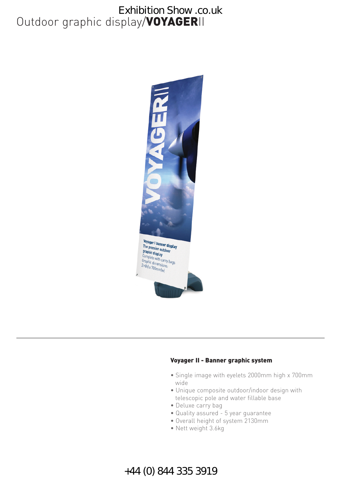# Outdoor graphic display/**VOYAGER**II Exhibition Show .co.uk



#### **Voyager II - Banner graphic system**

- Single image with eyelets 2000mm high x 700mm wide
- Unique composite outdoor/indoor design with telescopic pole and water fillable base
- Deluxe carry bag
- Quality assured 5 year guarantee
- Overall height of system 2130mm
- Nett weight 3.6kg

### +44 (0) 844 335 3919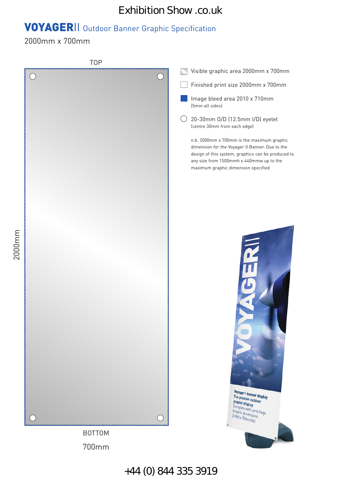#### Exhibition Show .co.uk

# **VOYAGER**II Outdoor Banner Graphic Specification

2000mm x 700mm

2000mm

TOP Visible graphic area 2000mm x 700mm  $( \ )$ Finished print size 2000mm x 700mm Image bleed area 2010 x 710mm (5mm all sides)  $\bigcirc$  20-30mm O/D (12.5mm I/D) eyelet (centre 30mm from each edge) n.b. 2000mm x 700mm is the maximum graphic dimension for the Voyager II Banner. Due to the design of this system, graphics can be produced to any size from 1500mmh x 440mmw up to the maximum graphic dimension specified Voyager || banner display The premier outdoor **The premier out**<br>**graphic display**<br>Complete stage Complete with carry bags Complete with carry<br>Graphic dimensions:<br>2m(h) x 700mm(w) BOTTOM 700mm

+44 (0) 844 335 3919